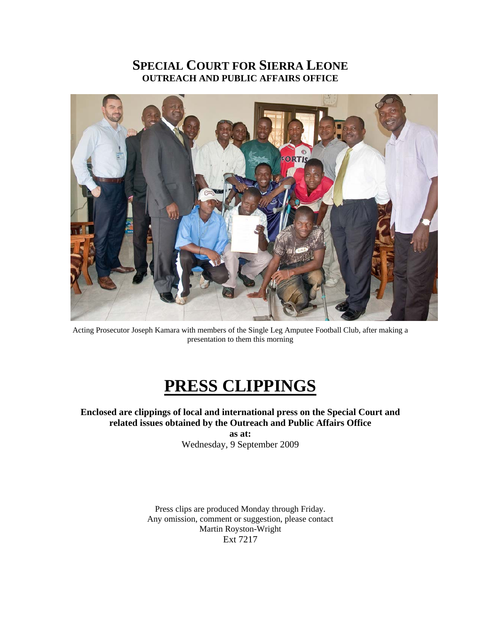# **SPECIAL COURT FOR SIERRA LEONE OUTREACH AND PUBLIC AFFAIRS OFFICE**



Acting Prosecutor Joseph Kamara with members of the Single Leg Amputee Football Club, after making a presentation to them this morning

# **PRESS CLIPPINGS**

**Enclosed are clippings of local and international press on the Special Court and related issues obtained by the Outreach and Public Affairs Office** 

> **as at:**  Wednesday, 9 September 2009

Press clips are produced Monday through Friday. Any omission, comment or suggestion, please contact Martin Royston-Wright Ext 7217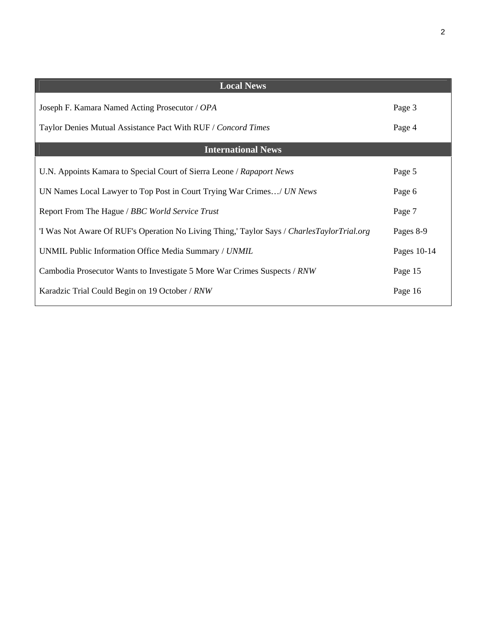| <b>Local News</b>                                                                          |             |
|--------------------------------------------------------------------------------------------|-------------|
| Joseph F. Kamara Named Acting Prosecutor / OPA                                             | Page 3      |
| Taylor Denies Mutual Assistance Pact With RUF / Concord Times                              | Page 4      |
| <b>International News</b>                                                                  |             |
| U.N. Appoints Kamara to Special Court of Sierra Leone / Rapaport News                      | Page 5      |
| UN Names Local Lawyer to Top Post in Court Trying War Crimes/ UN News                      | Page 6      |
| Report From The Hague / BBC World Service Trust                                            | Page 7      |
| 'I Was Not Aware Of RUF's Operation No Living Thing,' Taylor Says / CharlesTaylorTrial.org | Pages 8-9   |
| UNMIL Public Information Office Media Summary / UNMIL                                      | Pages 10-14 |
| Cambodia Prosecutor Wants to Investigate 5 More War Crimes Suspects / RNW                  | Page 15     |
| Karadzic Trial Could Begin on 19 October / RNW                                             | Page 16     |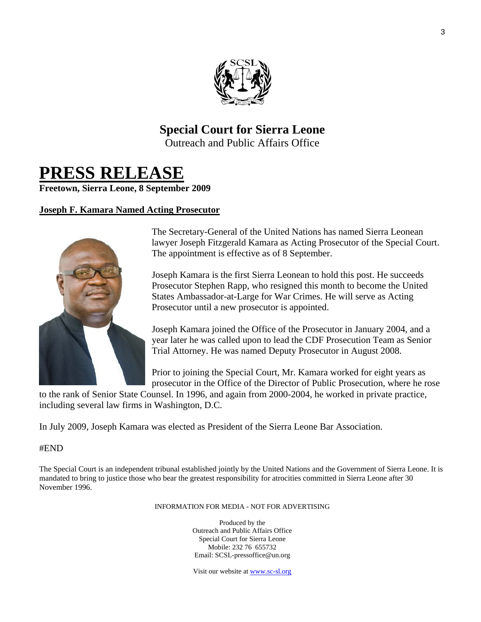

# **Special Court for Sierra Leone**

Outreach and Public Affairs Office

# **PRESS RELEASE**

**Freetown, Sierra Leone, 8 September 2009** 

#### **Joseph F. Kamara Named Acting Prosecutor**



The Secretary-General of the United Nations has named Sierra Leonean lawyer Joseph Fitzgerald Kamara as Acting Prosecutor of the Special Court. The appointment is effective as of 8 September.

Joseph Kamara is the first Sierra Leonean to hold this post. He succeeds Prosecutor Stephen Rapp, who resigned this month to become the United States Ambassador-at-Large for War Crimes. He will serve as Acting Prosecutor until a new prosecutor is appointed.

Joseph Kamara joined the Office of the Prosecutor in January 2004, and a year later he was called upon to lead the CDF Prosecution Team as Senior Trial Attorney. He was named Deputy Prosecutor in August 2008.

Prior to joining the Special Court, Mr. Kamara worked for eight years as prosecutor in the Office of the Director of Public Prosecution, where he rose

to the rank of Senior State Counsel. In 1996, and again from 2000-2004, he worked in private practice, including several law firms in Washington, D.C.

In July 2009, Joseph Kamara was elected as President of the Sierra Leone Bar Association.

#### #END

The Special Court is an independent tribunal established jointly by the United Nations and the Government of Sierra Leone. It is mandated to bring to justice those who bear the greatest responsibility for atrocities committed in Sierra Leone after 30 November 1996.

INFORMATION FOR MEDIA - NOT FOR ADVERTISING

Produced by the Outreach and Public Affairs Office Special Court for Sierra Leone Mobile: 232 76 655732 Email: SCSL-pressoffice@un.org

Visit our website at www.sc-sl.org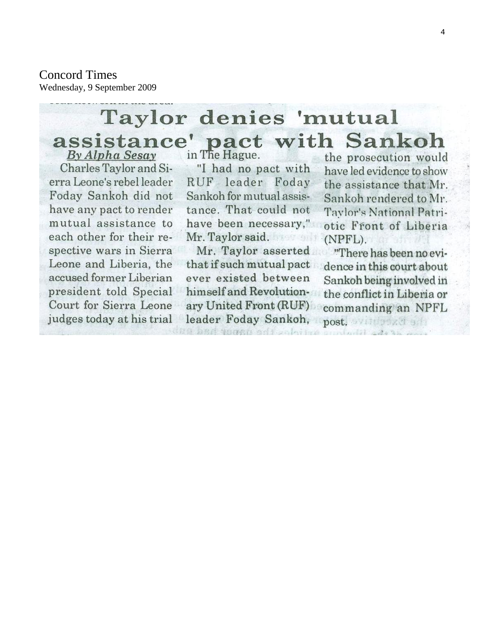### Concord Times

Wednesday, 9 September 2009

# Taylor denies 'mutual assistance' pact with Sankoh

By Alpha Sesay Charles Taylor and Sierra Leone's rebel leader Foday Sankoh did not have any pact to render mutual assistance to each other for their respective wars in Sierra Leone and Liberia, the accused former Liberian president told Special Court for Sierra Leone judges today at his trial

in The Hague. "I had no pact with RUF leader Foday

Sankoh for mutual assistance. That could not have been necessary," Mr. Taylor said.

Mr. Taylor asserted that if such mutual pact ever existed between himself and Revolutionary United Front (RUF) leader Foday Sankoh,

the prosecution would have led evidence to show the assistance that Mr. Sankoh rendered to Mr. Taylor's National Patriotic Front of Liberia (NPFL).

"There has been no evidence in this court about Sankoh being involved in the conflict in Liberia or commanding an NPFL post. Williams a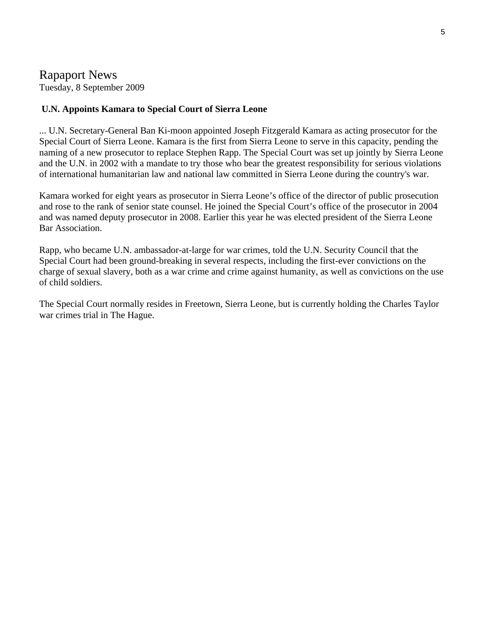## Rapaport News

Tuesday, 8 September 2009

#### **U.N. Appoints Kamara to Special Court of Sierra Leone**

... U.N. Secretary-General Ban Ki-moon appointed Joseph Fitzgerald Kamara as acting prosecutor for the Special Court of Sierra Leone. Kamara is the first from Sierra Leone to serve in this capacity, pending the naming of a new prosecutor to replace Stephen Rapp. The Special Court was set up jointly by Sierra Leone and the U.N. in 2002 with a mandate to try those who bear the greatest responsibility for serious violations of international humanitarian law and national law committed in Sierra Leone during the country's war.

Kamara worked for eight years as prosecutor in Sierra Leone's office of the director of public prosecution and rose to the rank of senior state counsel. He joined the Special Court's office of the prosecutor in 2004 and was named deputy prosecutor in 2008. Earlier this year he was elected president of the Sierra Leone Bar Association.

Rapp, who became U.N. ambassador-at-large for war crimes, told the U.N. Security Council that the Special Court had been ground-breaking in several respects, including the first-ever convictions on the charge of sexual slavery, both as a war crime and crime against humanity, as well as convictions on the use of child soldiers.

The Special Court normally resides in Freetown, Sierra Leone, but is currently holding the Charles Taylor war crimes trial in The Hague.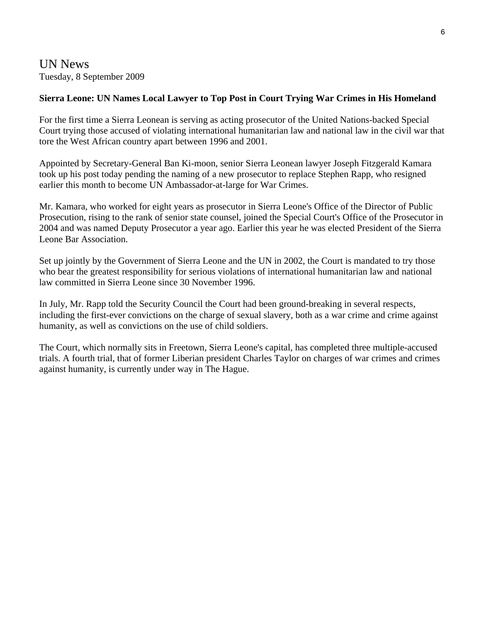UN News Tuesday, 8 September 2009

#### **Sierra Leone: UN Names Local Lawyer to Top Post in Court Trying War Crimes in His Homeland**

For the first time a Sierra Leonean is serving as acting prosecutor of the United Nations-backed Special Court trying those accused of violating international humanitarian law and national law in the civil war that tore the West African country apart between 1996 and 2001.

Appointed by Secretary-General Ban Ki-moon, senior Sierra Leonean lawyer Joseph Fitzgerald Kamara took up his post today pending the naming of a new prosecutor to replace Stephen Rapp, who resigned earlier this month to become UN Ambassador-at-large for War Crimes.

Mr. Kamara, who worked for eight years as prosecutor in Sierra Leone's Office of the Director of Public Prosecution, rising to the rank of senior state counsel, joined the Special Court's Office of the Prosecutor in 2004 and was named Deputy Prosecutor a year ago. Earlier this year he was elected President of the Sierra Leone Bar Association.

Set up jointly by the Government of Sierra Leone and the UN in 2002, the Court is mandated to try those who bear the greatest responsibility for serious violations of international humanitarian law and national law committed in Sierra Leone since 30 November 1996.

In July, Mr. Rapp told the Security Council the Court had been ground-breaking in several respects, including the first-ever convictions on the charge of sexual slavery, both as a war crime and crime against humanity, as well as convictions on the use of child soldiers.

The Court, which normally sits in Freetown, Sierra Leone's capital, has completed three multiple-accused trials. A fourth trial, that of former Liberian president Charles Taylor on charges of war crimes and crimes against humanity, is currently under way in The Hague.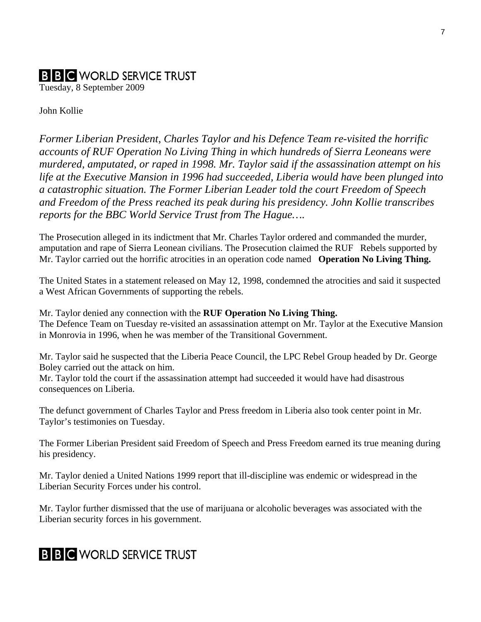# **B B C** WORLD SERVICE TRUST

Tuesday, 8 September 2009

John Kollie

*Former Liberian President, Charles Taylor and his Defence Team re-visited the horrific accounts of RUF Operation No Living Thing in which hundreds of Sierra Leoneans were murdered, amputated, or raped in 1998. Mr. Taylor said if the assassination attempt on his life at the Executive Mansion in 1996 had succeeded, Liberia would have been plunged into a catastrophic situation. The Former Liberian Leader told the court Freedom of Speech and Freedom of the Press reached its peak during his presidency. John Kollie transcribes reports for the BBC World Service Trust from The Hague….* 

The Prosecution alleged in its indictment that Mr. Charles Taylor ordered and commanded the murder, amputation and rape of Sierra Leonean civilians. The Prosecution claimed the RUF Rebels supported by Mr. Taylor carried out the horrific atrocities in an operation code named **Operation No Living Thing.** 

The United States in a statement released on May 12, 1998, condemned the atrocities and said it suspected a West African Governments of supporting the rebels.

Mr. Taylor denied any connection with the **RUF Operation No Living Thing.**  The Defence Team on Tuesday re-visited an assassination attempt on Mr. Taylor at the Executive Mansion in Monrovia in 1996, when he was member of the Transitional Government.

Mr. Taylor said he suspected that the Liberia Peace Council, the LPC Rebel Group headed by Dr. George Boley carried out the attack on him.

Mr. Taylor told the court if the assassination attempt had succeeded it would have had disastrous consequences on Liberia.

The defunct government of Charles Taylor and Press freedom in Liberia also took center point in Mr. Taylor's testimonies on Tuesday.

The Former Liberian President said Freedom of Speech and Press Freedom earned its true meaning during his presidency.

Mr. Taylor denied a United Nations 1999 report that ill-discipline was endemic or widespread in the Liberian Security Forces under his control.

Mr. Taylor further dismissed that the use of marijuana or alcoholic beverages was associated with the Liberian security forces in his government.

# **B B C** WORLD SERVICE TRUST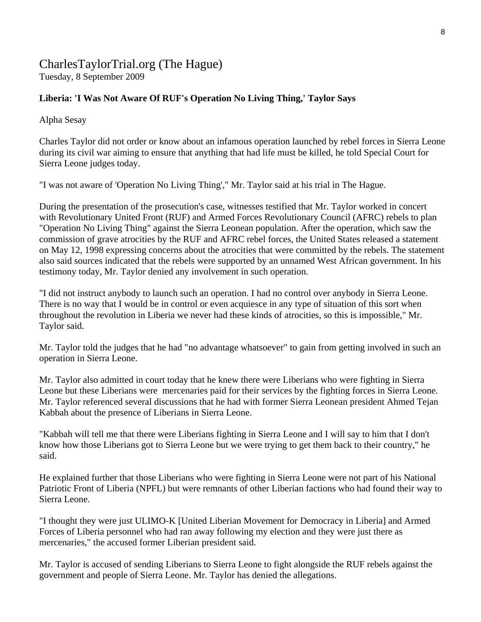# CharlesTaylorTrial.org (The Hague)

Tuesday, 8 September 2009

#### **Liberia: 'I Was Not Aware Of RUF's Operation No Living Thing,' Taylor Says**

Alpha Sesay

Charles Taylor did not order or know about an infamous operation launched by rebel forces in Sierra Leone during its civil war aiming to ensure that anything that had life must be killed, he told Special Court for Sierra Leone judges today.

"I was not aware of 'Operation No Living Thing'," Mr. Taylor said at his trial in The Hague.

During the presentation of the prosecution's case, witnesses testified that Mr. Taylor worked in concert with Revolutionary United Front (RUF) and Armed Forces Revolutionary Council (AFRC) rebels to plan "Operation No Living Thing" against the Sierra Leonean population. After the operation, which saw the commission of grave atrocities by the RUF and AFRC rebel forces, the United States released a statement on May 12, 1998 expressing concerns about the atrocities that were committed by the rebels. The statement also said sources indicated that the rebels were supported by an unnamed West African government. In his testimony today, Mr. Taylor denied any involvement in such operation.

"I did not instruct anybody to launch such an operation. I had no control over anybody in Sierra Leone. There is no way that I would be in control or even acquiesce in any type of situation of this sort when throughout the revolution in Liberia we never had these kinds of atrocities, so this is impossible," Mr. Taylor said.

Mr. Taylor told the judges that he had "no advantage whatsoever" to gain from getting involved in such an operation in Sierra Leone.

Mr. Taylor also admitted in court today that he knew there were Liberians who were fighting in Sierra Leone but these Liberians were mercenaries paid for their services by the fighting forces in Sierra Leone. Mr. Taylor referenced several discussions that he had with former Sierra Leonean president Ahmed Tejan Kabbah about the presence of Liberians in Sierra Leone.

"Kabbah will tell me that there were Liberians fighting in Sierra Leone and I will say to him that I don't know how those Liberians got to Sierra Leone but we were trying to get them back to their country," he said.

He explained further that those Liberians who were fighting in Sierra Leone were not part of his National Patriotic Front of Liberia (NPFL) but were remnants of other Liberian factions who had found their way to Sierra Leone.

"I thought they were just ULIMO-K [United Liberian Movement for Democracy in Liberia] and Armed Forces of Liberia personnel who had ran away following my election and they were just there as mercenaries," the accused former Liberian president said.

Mr. Taylor is accused of sending Liberians to Sierra Leone to fight alongside the RUF rebels against the government and people of Sierra Leone. Mr. Taylor has denied the allegations.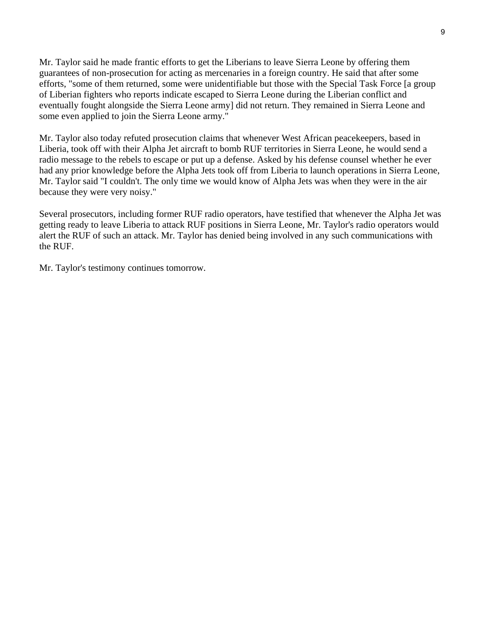Mr. Taylor said he made frantic efforts to get the Liberians to leave Sierra Leone by offering them guarantees of non-prosecution for acting as mercenaries in a foreign country. He said that after some efforts, "some of them returned, some were unidentifiable but those with the Special Task Force [a group of Liberian fighters who reports indicate escaped to Sierra Leone during the Liberian conflict and eventually fought alongside the Sierra Leone army] did not return. They remained in Sierra Leone and some even applied to join the Sierra Leone army."

Mr. Taylor also today refuted prosecution claims that whenever West African peacekeepers, based in Liberia, took off with their Alpha Jet aircraft to bomb RUF territories in Sierra Leone, he would send a radio message to the rebels to escape or put up a defense. Asked by his defense counsel whether he ever had any prior knowledge before the Alpha Jets took off from Liberia to launch operations in Sierra Leone, Mr. Taylor said "I couldn't. The only time we would know of Alpha Jets was when they were in the air because they were very noisy."

Several prosecutors, including former RUF radio operators, have testified that whenever the Alpha Jet was getting ready to leave Liberia to attack RUF positions in Sierra Leone, Mr. Taylor's radio operators would alert the RUF of such an attack. Mr. Taylor has denied being involved in any such communications with the RUF.

Mr. Taylor's testimony continues tomorrow.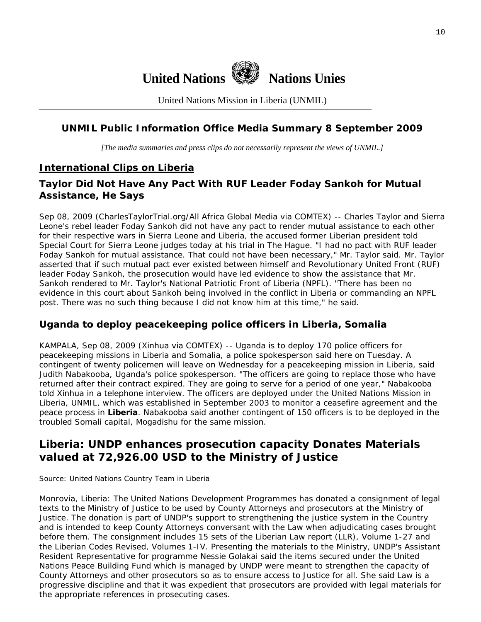

United Nations Mission in Liberia (UNMIL)

#### **UNMIL Public Information Office Media Summary 8 September 2009**

*[The media summaries and press clips do not necessarily represent the views of UNMIL.]* 

#### **International Clips on Liberia**

#### **Taylor Did Not Have Any Pact With RUF Leader Foday Sankoh for Mutual Assistance, He Says**

Sep 08, 2009 (CharlesTaylorTrial.org/All Africa Global Media via COMTEX) -- Charles Taylor and Sierra Leone's rebel leader Foday Sankoh did not have any pact to render mutual assistance to each other for their respective wars in Sierra Leone and Liberia, the accused former Liberian president told Special Court for Sierra Leone judges today at his trial in The Hague. "I had no pact with RUF leader Foday Sankoh for mutual assistance. That could not have been necessary," Mr. Taylor said. Mr. Taylor asserted that if such mutual pact ever existed between himself and Revolutionary United Front (RUF) leader Foday Sankoh, the prosecution would have led evidence to show the assistance that Mr. Sankoh rendered to Mr. Taylor's National Patriotic Front of Liberia (NPFL). "There has been no evidence in this court about Sankoh being involved in the conflict in Liberia or commanding an NPFL post. There was no such thing because I did not know him at this time," he said.

#### **Uganda to deploy peacekeeping police officers in Liberia, Somalia**

KAMPALA, Sep 08, 2009 (Xinhua via COMTEX) -- Uganda is to deploy 170 police officers for peacekeeping missions in Liberia and Somalia, a police spokesperson said here on Tuesday. A contingent of twenty policemen will leave on Wednesday for a peacekeeping mission in Liberia, said Judith Nabakooba, Uganda's police spokesperson. "The officers are going to replace those who have returned after their contract expired. They are going to serve for a period of one year," Nabakooba told Xinhua in a telephone interview. The officers are deployed under the United Nations Mission in Liberia, UNMIL, which was established in September 2003 to monitor a ceasefire agreement and the peace process in **Liberia**. Nabakooba said another contingent of 150 officers is to be deployed in the troubled Somali capital, Mogadishu for the same mission.

### **Liberia: UNDP enhances prosecution capacity Donates Materials valued at 72,926.00 USD to the Ministry of Justice**

Source: United Nations Country Team in Liberia

Monrovia, Liberia: The United Nations Development Programmes has donated a consignment of legal texts to the Ministry of Justice to be used by County Attorneys and prosecutors at the Ministry of Justice. The donation is part of UNDP's support to strengthening the justice system in the Country and is intended to keep County Attorneys conversant with the Law when adjudicating cases brought before them. The consignment includes 15 sets of the Liberian Law report (LLR), Volume 1-27 and the Liberian Codes Revised, Volumes 1-IV. Presenting the materials to the Ministry, UNDP's Assistant Resident Representative for programme Nessie Golakai said the items secured under the United Nations Peace Building Fund which is managed by UNDP were meant to strengthen the capacity of County Attorneys and other prosecutors so as to ensure access to Justice for all. She said Law is a progressive discipline and that it was expedient that prosecutors are provided with legal materials for the appropriate references in prosecuting cases.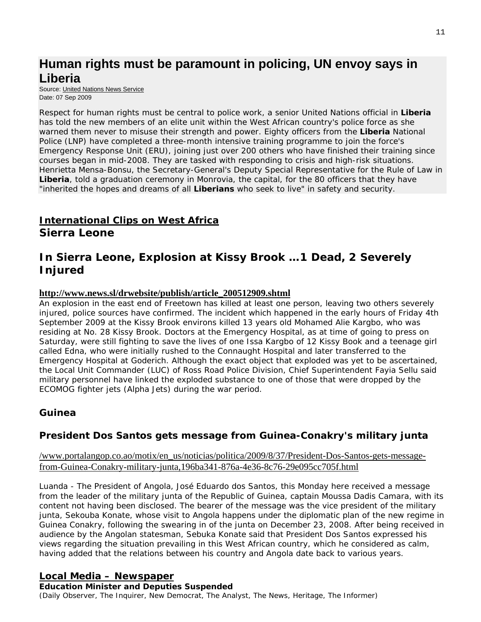# **Human rights must be paramount in policing, UN envoy says in Liberia**

Source: [United Nations News Service](http://www.un.org/News/) Date: 07 Sep 2009

Respect for human rights must be central to police work, a senior United Nations official in **Liberia**  has told the new members of an elite unit within the West African country's police force as she warned them never to misuse their strength and power. Eighty officers from the **Liberia** National Police (LNP) have completed a three-month intensive training programme to join the force's Emergency Response Unit (ERU), joining just over 200 others who have finished their training since courses began in mid-2008. They are tasked with responding to crisis and high-risk situations. Henrietta Mensa-Bonsu, the Secretary-General's Deputy Special Representative for the Rule of Law in **Liberia**, told a graduation ceremony in Monrovia, the capital, for the 80 officers that they have "inherited the hopes and dreams of all **Liberians** who seek to live" in safety and security.

# **International Clips on West Africa**

**Sierra Leone** 

## **In Sierra Leone, Explosion at Kissy Brook …1 Dead, 2 Severely Injured**

#### **[http://www.news.sl/drwebsite/publish/article\\_200512909.shtml](http://www.news.sl/drwebsite/publish/article_200512909.shtml)**

An explosion in the east end of Freetown has killed at least one person, leaving two others severely injured, police sources have confirmed. The incident which happened in the early hours of Friday 4th September 2009 at the Kissy Brook environs killed 13 years old Mohamed Alie Kargbo, who was residing at No. 28 Kissy Brook. Doctors at the Emergency Hospital, as at time of going to press on Saturday, were still fighting to save the lives of one Issa Kargbo of 12 Kissy Book and a teenage girl called Edna, who were initially rushed to the Connaught Hospital and later transferred to the Emergency Hospital at Goderich. Although the exact object that exploded was yet to be ascertained, the Local Unit Commander (LUC) of Ross Road Police Division, Chief Superintendent Fayia Sellu said military personnel have linked the exploded substance to one of those that were dropped by the ECOMOG fighter jets (Alpha Jets) during the war period.

## **Guinea**

## **President Dos Santos gets message from Guinea-Conakry's military junta**

[/www.portalangop.co.ao/motix/en\\_us/noticias/politica/2009/8/37/President-Dos-Santos-gets-message](http://www.portalangop.co.ao/motix/en_us/noticias/politica/2009/8/37/President-Dos-Santos-gets-message-from-Guinea-Conakry-military-junta,196ba341-876a-4e36-8c76-29e095cc705f.html)[from-Guinea-Conakry-military-junta,196ba341-876a-4e36-8c76-29e095cc705f.html](http://www.portalangop.co.ao/motix/en_us/noticias/politica/2009/8/37/President-Dos-Santos-gets-message-from-Guinea-Conakry-military-junta,196ba341-876a-4e36-8c76-29e095cc705f.html)

Luanda - The President of Angola, José Eduardo dos Santos, this Monday here received a message from the leader of the military junta of the Republic of Guinea, captain Moussa Dadis Camara, with its content not having been disclosed. The bearer of the message was the vice president of the military junta, Sekouba Konate, whose visit to Angola happens under the diplomatic plan of the new regime in Guinea Conakry, following the swearing in of the junta on December 23, 2008. After being received in audience by the Angolan statesman, Sebuka Konate said that President Dos Santos expressed his views regarding the situation prevailing in this West African country, which he considered as calm, having added that the relations between his country and Angola date back to various years.

### **Local Media – Newspaper**

**Education Minister and Deputies Suspended**  (Daily Observer, The Inquirer, New Democrat, The Analyst, The News, Heritage, The Informer)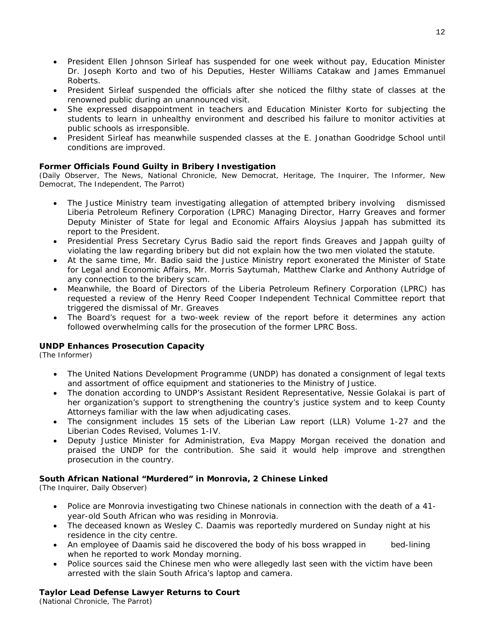- President Ellen Johnson Sirleaf has suspended for one week without pay, Education Minister Dr. Joseph Korto and two of his Deputies, Hester Williams Catakaw and James Emmanuel Roberts.
- President Sirleaf suspended the officials after she noticed the filthy state of classes at the renowned public during an unannounced visit.
- She expressed disappointment in teachers and Education Minister Korto for subjecting the students to learn in unhealthy environment and described his failure to monitor activities at public schools as irresponsible.
- President Sirleaf has meanwhile suspended classes at the E. Jonathan Goodridge School until conditions are improved.

#### **Former Officials Found Guilty in Bribery Investigation**

(Daily Observer, The News, National Chronicle, New Democrat, Heritage, The Inquirer, The Informer, New Democrat, The Independent, The Parrot)

- The Justice Ministry team investigating allegation of attempted bribery involving dismissed Liberia Petroleum Refinery Corporation (LPRC) Managing Director, Harry Greaves and former Deputy Minister of State for legal and Economic Affairs Aloysius Jappah has submitted its report to the President.
- Presidential Press Secretary Cyrus Badio said the report finds Greaves and Jappah guilty of violating the law regarding bribery but did not explain how the two men violated the statute.
- At the same time, Mr. Badio said the Justice Ministry report exonerated the Minister of State for Legal and Economic Affairs, Mr. Morris Saytumah, Matthew Clarke and Anthony Autridge of any connection to the bribery scam.
- Meanwhile, the Board of Directors of the Liberia Petroleum Refinery Corporation (LPRC) has requested a review of the Henry Reed Cooper Independent Technical Committee report that triggered the dismissal of Mr. Greaves
- The Board's request for a two-week review of the report before it determines any action followed overwhelming calls for the prosecution of the former LPRC Boss.

#### **UNDP Enhances Prosecution Capacity**

(The Informer)

- The United Nations Development Programme (UNDP) has donated a consignment of legal texts and assortment of office equipment and stationeries to the Ministry of Justice.
- The donation according to UNDP's Assistant Resident Representative, Nessie Golakai is part of her organization's support to strengthening the country's justice system and to keep County Attorneys familiar with the law when adjudicating cases.
- The consignment includes 15 sets of the Liberian Law report (LLR) Volume 1-27 and the Liberian Codes Revised, Volumes 1-IV.
- Deputy Justice Minister for Administration, Eva Mappy Morgan received the donation and praised the UNDP for the contribution. She said it would help improve and strengthen prosecution in the country.

#### **South African National "Murdered" in Monrovia, 2 Chinese Linked**

(The Inquirer, Daily Observer)

- Police are Monrovia investigating two Chinese nationals in connection with the death of a 41 year-old South African who was residing in Monrovia.
- The deceased known as Wesley C. Daamis was reportedly murdered on Sunday night at his residence in the city centre.
- An employee of Daamis said he discovered the body of his boss wrapped in bed-lining when he reported to work Monday morning.
- Police sources said the Chinese men who were allegedly last seen with the victim have been arrested with the slain South Africa's laptop and camera.

#### **Taylor Lead Defense Lawyer Returns to Court**

(National Chronicle, The Parrot)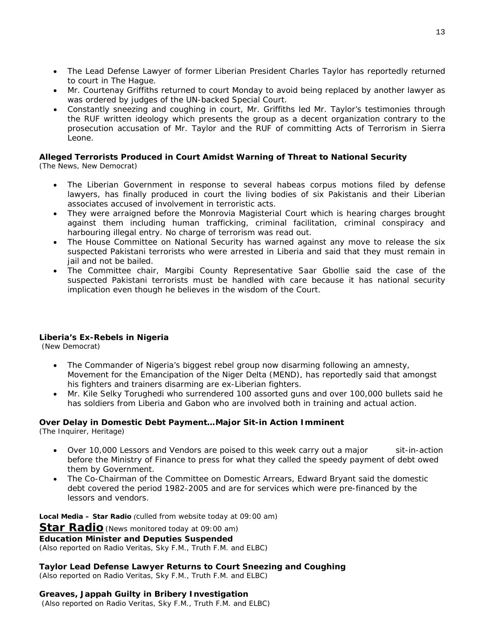- The Lead Defense Lawyer of former Liberian President Charles Taylor has reportedly returned to court in The Hague.
- Mr. Courtenay Griffiths returned to court Monday to avoid being replaced by another lawyer as was ordered by judges of the UN-backed Special Court.
- Constantly sneezing and coughing in court, Mr. Griffiths led Mr. Taylor's testimonies through the RUF written ideology which presents the group as a decent organization contrary to the prosecution accusation of Mr. Taylor and the RUF of committing Acts of Terrorism in Sierra Leone.

#### **Alleged Terrorists Produced in Court Amidst Warning of Threat to National Security**

(The News, New Democrat)

- The Liberian Government in response to several habeas corpus motions filed by defense lawyers, has finally produced in court the living bodies of six Pakistanis and their Liberian associates accused of involvement in terroristic acts.
- They were arraigned before the Monrovia Magisterial Court which is hearing charges brought against them including human trafficking, criminal facilitation, criminal conspiracy and harbouring illegal entry. No charge of terrorism was read out.
- The House Committee on National Security has warned against any move to release the six suspected Pakistani terrorists who were arrested in Liberia and said that they must remain in iail and not be bailed.
- The Committee chair, Margibi County Representative Saar Gbollie said the case of the suspected Pakistani terrorists must be handled with care because it has national security implication even though he believes in the wisdom of the Court.

#### **Liberia's Ex-Rebels in Nigeria**

(New Democrat)

- The Commander of Nigeria's biggest rebel group now disarming following an amnesty, Movement for the Emancipation of the Niger Delta (MEND), has reportedly said that amongst his fighters and trainers disarming are ex-Liberian fighters.
- Mr. Kile Selky Torughedi who surrendered 100 assorted guns and over 100,000 bullets said he has soldiers from Liberia and Gabon who are involved both in training and actual action.

#### **Over Delay in Domestic Debt Payment…Major Sit-in Action Imminent**

(The Inquirer, Heritage)

- Over 10,000 Lessors and Vendors are poised to this week carry out a major sit-in-action before the Ministry of Finance to press for what they called the speedy payment of debt owed them by Government.
- The Co-Chairman of the Committee on Domestic Arrears, Edward Bryant said the domestic debt covered the period 1982-2005 and are for services which were pre-financed by the lessors and vendors.

**Local Media – Star Radio** *(culled from website today at 09:00 am)*  **Star Radio***(News monitored today at 09:00 am)*

**Education Minister and Deputies Suspended**  *(Also reported on Radio Veritas, Sky F.M., Truth F.M. and ELBC)*

**Taylor Lead Defense Lawyer Returns to Court Sneezing and Coughing**  *(Also reported on Radio Veritas, Sky F.M., Truth F.M. and ELBC)*

#### **Greaves, Jappah Guilty in Bribery Investigation**   *(Also reported on Radio Veritas, Sky F.M., Truth F.M. and ELBC)*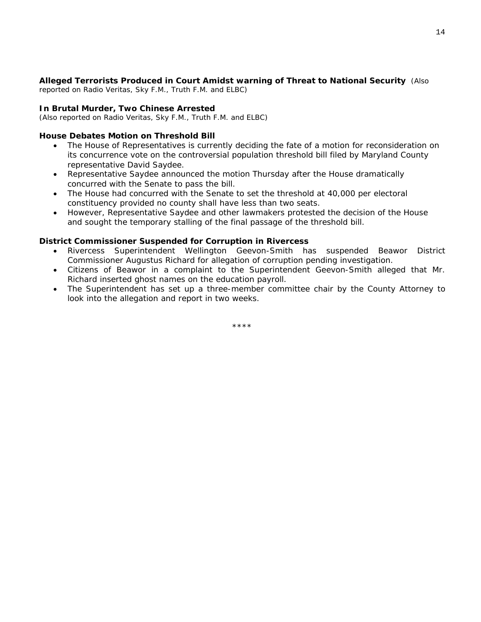#### **Alleged Terrorists Produced in Court Amidst warning of Threat to National Security** *(Also*

*reported on Radio Veritas, Sky F.M., Truth F.M. and ELBC)*

#### **In Brutal Murder, Two Chinese Arrested**

*(Also reported on Radio Veritas, Sky F.M., Truth F.M. and ELBC)* 

#### **House Debates Motion on Threshold Bill**

- The House of Representatives is currently deciding the fate of a motion for reconsideration on its concurrence vote on the controversial population threshold bill filed by Maryland County representative David Saydee.
- Representative Saydee announced the motion Thursday after the House dramatically concurred with the Senate to pass the bill.
- The House had concurred with the Senate to set the threshold at 40,000 per electoral constituency provided no county shall have less than two seats.
- However, Representative Saydee and other lawmakers protested the decision of the House and sought the temporary stalling of the final passage of the threshold bill.

#### **District Commissioner Suspended for Corruption in Rivercess**

- Rivercess Superintendent Wellington Geevon-Smith has suspended Beawor District Commissioner Augustus Richard for allegation of corruption pending investigation.
- Citizens of Beawor in a complaint to the Superintendent Geevon-Smith alleged that Mr. Richard inserted ghost names on the education payroll.
- The Superintendent has set up a three-member committee chair by the County Attorney to look into the allegation and report in two weeks.

\*\*\*\*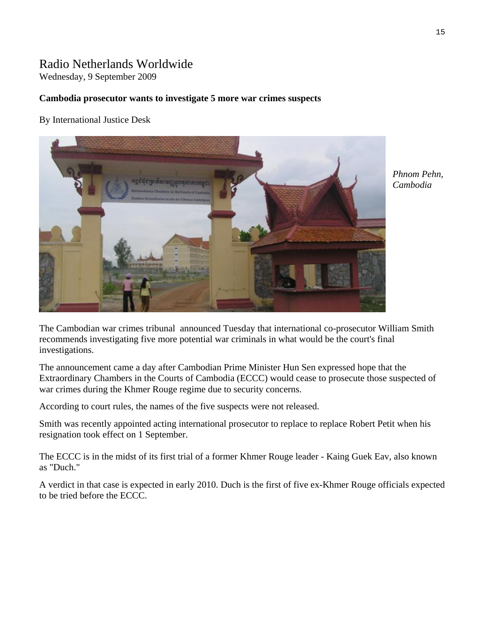## Radio Netherlands Worldwide

Wednesday, 9 September 2009

#### **Cambodia prosecutor wants to investigate 5 more war crimes suspects**

By International Justice Desk



*Phnom Pehn, Cambodia* 

The Cambodian war crimes tribunal announced Tuesday that international co-prosecutor William Smith recommends investigating five more potential war criminals in what would be the court's final investigations.

The announcement came a day after Cambodian Prime Minister Hun Sen expressed hope that the Extraordinary Chambers in the Courts of Cambodia (ECCC) would cease to prosecute those suspected of war crimes during the Khmer Rouge regime due to security concerns.

According to court rules, the names of the five suspects were not released.

Smith was recently appointed acting international prosecutor to replace to replace Robert Petit when his resignation took effect on 1 September.

The ECCC is in the midst of its first trial of a former Khmer Rouge leader - Kaing Guek Eav, also known as "Duch."

A verdict in that case is expected in early 2010. Duch is the first of five ex-Khmer Rouge officials expected to be tried before the ECCC.